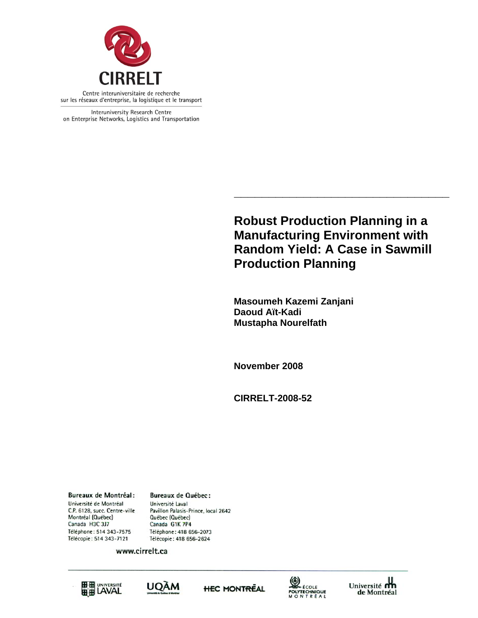

Interuniversity Research Centre on Enterprise Networks, Logistics and Transportation

> **Robust Production Planning in a Manufacturing Environment with Random Yield: A Case in Sawmill Production Planning**

**\_\_\_\_\_\_\_\_\_\_\_\_\_\_\_\_\_\_\_\_\_\_\_\_\_\_\_\_\_\_\_** 

 **Masoumeh Kazemi Zanjani Daoud Aït-Kadi Mustapha Nourelfath** 

 **November 2008** 

 **CIRRELT-2008-52** 

**Bureaux de Montréal:** Université de Montréal C.P. 6128, succ. Centre-ville Montréal (Québec) Canada H3C 3J7 Téléphone: 514 343-7575 Télécopie: 514 343-7121

**Bureaux de Québec:** Université Laval Pavillon Palasis-Prince, local 2642 Québec (Québec) Canada G1K 7P4 Téléphone: 418 656-2073 Télécopie: 418 656-2624

www.cirrelt.ca









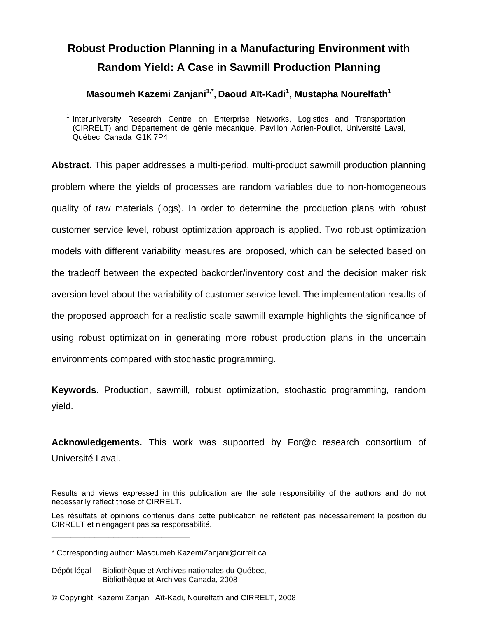# **Robust Production Planning in a Manufacturing Environment with Random Yield: A Case in Sawmill Production Planning**

## **Masoumeh Kazemi Zanjani1,\*, Daoud Aït-Kadi<sup>1</sup> , Mustapha Nourelfath1**

1 Interuniversity Research Centre on Enterprise Networks, Logistics and Transportation (CIRRELT) and Département de génie mécanique, Pavillon Adrien-Pouliot, Université Laval, Québec, Canada G1K 7P4

**Abstract.** This paper addresses a multi-period, multi-product sawmill production planning problem where the yields of processes are random variables due to non-homogeneous quality of raw materials (logs). In order to determine the production plans with robust customer service level, robust optimization approach is applied. Two robust optimization models with different variability measures are proposed, which can be selected based on the tradeoff between the expected backorder/inventory cost and the decision maker risk aversion level about the variability of customer service level. The implementation results of the proposed approach for a realistic scale sawmill example highlights the significance of using robust optimization in generating more robust production plans in the uncertain environments compared with stochastic programming.

**Keywords**. Production, sawmill, robust optimization, stochastic programming, random yield.

**Acknowledgements.** This work was supported by For@c research consortium of Université Laval.

**\_\_\_\_\_\_\_\_\_\_\_\_\_\_\_\_\_\_\_\_\_\_\_\_\_\_\_\_\_**

Results and views expressed in this publication are the sole responsibility of the authors and do not necessarily reflect those of CIRRELT.

Les résultats et opinions contenus dans cette publication ne reflètent pas nécessairement la position du CIRRELT et n'engagent pas sa responsabilité.

<sup>\*</sup> Corresponding author: Masoumeh.KazemiZanjani@cirrelt.ca

Dépôt légal – Bibliothèque et Archives nationales du Québec, Bibliothèque et Archives Canada, 2008

<sup>©</sup> Copyright Kazemi Zanjani, Aït-Kadi, Nourelfath and CIRRELT, 2008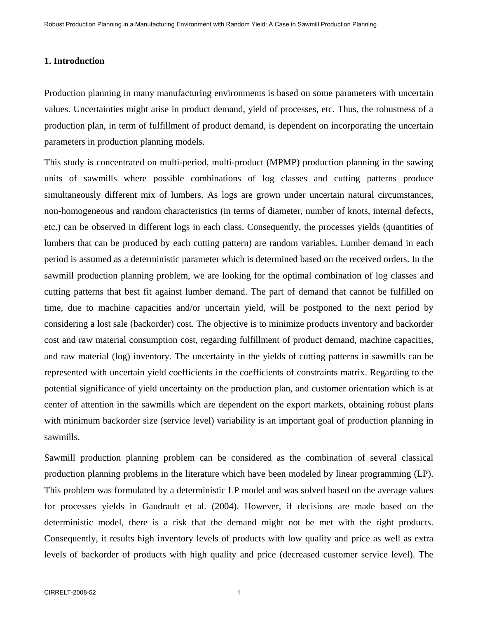#### **1. Introduction**

Production planning in many manufacturing environments is based on some parameters with uncertain values. Uncertainties might arise in product demand, yield of processes, etc. Thus, the robustness of a production plan, in term of fulfillment of product demand, is dependent on incorporating the uncertain parameters in production planning models.

This study is concentrated on multi-period, multi-product (MPMP) production planning in the sawing units of sawmills where possible combinations of log classes and cutting patterns produce simultaneously different mix of lumbers. As logs are grown under uncertain natural circumstances, non-homogeneous and random characteristics (in terms of diameter, number of knots, internal defects, etc.) can be observed in different logs in each class. Consequently, the processes yields (quantities of lumbers that can be produced by each cutting pattern) are random variables. Lumber demand in each period is assumed as a deterministic parameter which is determined based on the received orders. In the sawmill production planning problem, we are looking for the optimal combination of log classes and cutting patterns that best fit against lumber demand. The part of demand that cannot be fulfilled on time, due to machine capacities and/or uncertain yield, will be postponed to the next period by considering a lost sale (backorder) cost. The objective is to minimize products inventory and backorder cost and raw material consumption cost, regarding fulfillment of product demand, machine capacities, and raw material (log) inventory. The uncertainty in the yields of cutting patterns in sawmills can be represented with uncertain yield coefficients in the coefficients of constraints matrix. Regarding to the potential significance of yield uncertainty on the production plan, and customer orientation which is at center of attention in the sawmills which are dependent on the export markets, obtaining robust plans with minimum backorder size (service level) variability is an important goal of production planning in sawmills.

Sawmill production planning problem can be considered as the combination of several classical production planning problems in the literature which have been modeled by linear programming (LP). This problem was formulated by a deterministic LP model and was solved based on the average values for processes yields in Gaudrault et al. (2004). However, if decisions are made based on the deterministic model, there is a risk that the demand might not be met with the right products. Consequently, it results high inventory levels of products with low quality and price as well as extra levels of backorder of products with high quality and price (decreased customer service level). The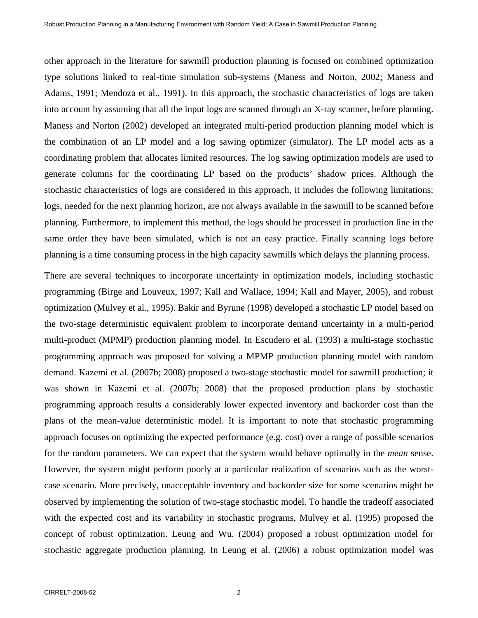other approach in the literature for sawmill production planning is focused on combined optimization type solutions linked to real-time simulation sub-systems (Maness and Norton, 2002; Maness and Adams, 1991; Mendoza et al., 1991). In this approach, the stochastic characteristics of logs are taken into account by assuming that all the input logs are scanned through an X-ray scanner, before planning. Maness and Norton (2002) developed an integrated multi-period production planning model which is the combination of an LP model and a log sawing optimizer (simulator). The LP model acts as a coordinating problem that allocates limited resources. The log sawing optimization models are used to generate columns for the coordinating LP based on the products' shadow prices. Although the stochastic characteristics of logs are considered in this approach, it includes the following limitations: logs, needed for the next planning horizon, are not always available in the sawmill to be scanned before planning. Furthermore, to implement this method, the logs should be processed in production line in the same order they have been simulated, which is not an easy practice. Finally scanning logs before planning is a time consuming process in the high capacity sawmills which delays the planning process.

There are several techniques to incorporate uncertainty in optimization models, including stochastic programming (Birge and Louveux, 1997; Kall and Wallace, 1994; Kall and Mayer, 2005), and robust optimization (Mulvey et al., 1995). Bakir and Byrune (1998) developed a stochastic LP model based on the two-stage deterministic equivalent problem to incorporate demand uncertainty in a multi-period multi-product (MPMP) production planning model. In Escudero et al. (1993) a multi-stage stochastic programming approach was proposed for solving a MPMP production planning model with random demand. Kazemi et al. (2007b; 2008) proposed a two-stage stochastic model for sawmill production; it was shown in Kazemi et al. (2007b; 2008) that the proposed production plans by stochastic programming approach results a considerably lower expected inventory and backorder cost than the plans of the mean-value deterministic model. It is important to note that stochastic programming approach focuses on optimizing the expected performance (e.g. cost) over a range of possible scenarios for the random parameters. We can expect that the system would behave optimally in the *mean* sense. However, the system might perform poorly at a particular realization of scenarios such as the worstcase scenario. More precisely, unacceptable inventory and backorder size for some scenarios might be observed by implementing the solution of two-stage stochastic model. To handle the tradeoff associated with the expected cost and its variability in stochastic programs, Mulvey et al. (1995) proposed the concept of robust optimization. Leung and Wu. (2004) proposed a robust optimization model for stochastic aggregate production planning. In Leung et al. (2006) a robust optimization model was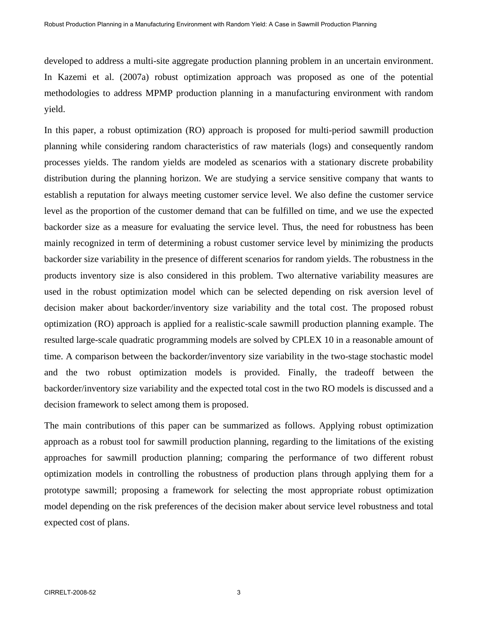developed to address a multi-site aggregate production planning problem in an uncertain environment. In Kazemi et al. (2007a) robust optimization approach was proposed as one of the potential methodologies to address MPMP production planning in a manufacturing environment with random yield.

In this paper, a robust optimization (RO) approach is proposed for multi-period sawmill production planning while considering random characteristics of raw materials (logs) and consequently random processes yields. The random yields are modeled as scenarios with a stationary discrete probability distribution during the planning horizon. We are studying a service sensitive company that wants to establish a reputation for always meeting customer service level. We also define the customer service level as the proportion of the customer demand that can be fulfilled on time, and we use the expected backorder size as a measure for evaluating the service level. Thus, the need for robustness has been mainly recognized in term of determining a robust customer service level by minimizing the products backorder size variability in the presence of different scenarios for random yields. The robustness in the products inventory size is also considered in this problem. Two alternative variability measures are used in the robust optimization model which can be selected depending on risk aversion level of decision maker about backorder/inventory size variability and the total cost. The proposed robust optimization (RO) approach is applied for a realistic-scale sawmill production planning example. The resulted large-scale quadratic programming models are solved by CPLEX 10 in a reasonable amount of time. A comparison between the backorder/inventory size variability in the two-stage stochastic model and the two robust optimization models is provided. Finally, the tradeoff between the backorder/inventory size variability and the expected total cost in the two RO models is discussed and a decision framework to select among them is proposed.

The main contributions of this paper can be summarized as follows. Applying robust optimization approach as a robust tool for sawmill production planning, regarding to the limitations of the existing approaches for sawmill production planning; comparing the performance of two different robust optimization models in controlling the robustness of production plans through applying them for a prototype sawmill; proposing a framework for selecting the most appropriate robust optimization model depending on the risk preferences of the decision maker about service level robustness and total expected cost of plans.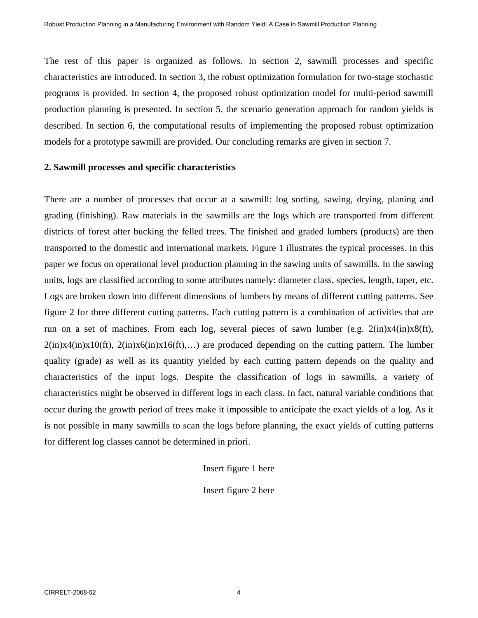The rest of this paper is organized as follows. In section 2, sawmill processes and specific characteristics are introduced. In section 3, the robust optimization formulation for two-stage stochastic programs is provided. In section 4, the proposed robust optimization model for multi-period sawmill production planning is presented. In section 5, the scenario generation approach for random yields is described. In section 6, the computational results of implementing the proposed robust optimization models for a prototype sawmill are provided. Our concluding remarks are given in section 7.

### **2. Sawmill processes and specific characteristics**

There are a number of processes that occur at a sawmill: log sorting, sawing, drying, planing and grading (finishing). Raw materials in the sawmills are the logs which are transported from different districts of forest after bucking the felled trees. The finished and graded lumbers (products) are then transported to the domestic and international markets. Figure 1 illustrates the typical processes. In this paper we focus on operational level production planning in the sawing units of sawmills. In the sawing units, logs are classified according to some attributes namely: diameter class, species, length, taper, etc. Logs are broken down into different dimensions of lumbers by means of different cutting patterns. See figure 2 for three different cutting patterns. Each cutting pattern is a combination of activities that are run on a set of machines. From each log, several pieces of sawn lumber (e.g. 2(in)x4(in)x8(ft),  $2(in)x4(in)x10(ft), 2(in)x6(in)x16(ft),...)$  are produced depending on the cutting pattern. The lumber quality (grade) as well as its quantity yielded by each cutting pattern depends on the quality and characteristics of the input logs. Despite the classification of logs in sawmills, a variety of characteristics might be observed in different logs in each class. In fact, natural variable conditions that occur during the growth period of trees make it impossible to anticipate the exact yields of a log. As it is not possible in many sawmills to scan the logs before planning, the exact yields of cutting patterns for different log classes cannot be determined in priori.

Insert figure 1 here

Insert figure 2 here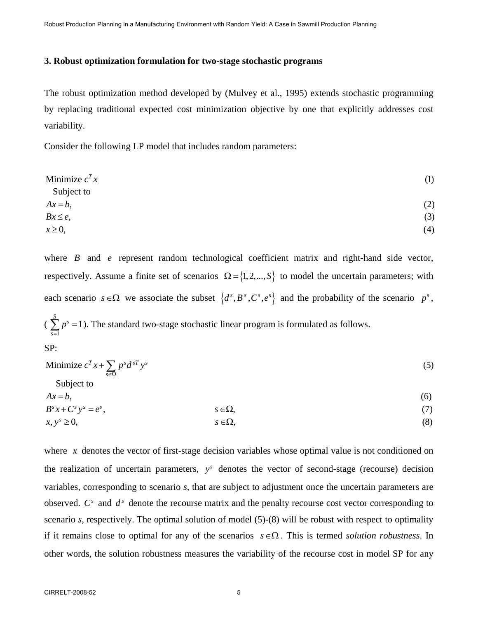#### **3. Robust optimization formulation for two-stage stochastic programs**

The robust optimization method developed by (Mulvey et al., 1995) extends stochastic programming by replacing traditional expected cost minimization objective by one that explicitly addresses cost variability.

Consider the following LP model that includes random parameters:

Minimize 
$$
c^T x
$$
 (1)

Subject to

$$
Ax = b,
$$
  
\n
$$
Bx \le e,
$$
  
\n
$$
x \ge 0,
$$
  
\n(2)

where *B* and *e* represent random technological coefficient matrix and right-hand side vector, respectively. Assume a finite set of scenarios  $\Omega = \{1, 2, ..., S\}$  to model the uncertain parameters; with each scenario  $s \in \Omega$  we associate the subset  $\{d^s, B^s, C^s, e^s\}$  and the probability of the scenario  $p^s$ ,

$$
(\sum_{s=1}^{S} p^{s} = 1)
$$
. The standard two-stage stochastic linear program is formulated as follows.  
SP:

Minimize 
$$
c^T x + \sum_{s \in \Omega} p^s d^{sT} y^s
$$
 (5)

Subject to

$$
Ax = b,
$$
  
\n
$$
B^{s}x + C^{s}y^{s} = e^{s},
$$
  
\n
$$
s \in \Omega,
$$
  
\n(7)

$$
x, y^s \ge 0,\t\t s \in \Omega,\t\t(8)
$$

where *x* denotes the vector of first-stage decision variables whose optimal value is not conditioned on the realization of uncertain parameters,  $y^s$  denotes the vector of second-stage (recourse) decision variables, corresponding to scenario *s*, that are subject to adjustment once the uncertain parameters are observed.  $C<sup>s</sup>$  and  $d<sup>s</sup>$  denote the recourse matrix and the penalty recourse cost vector corresponding to scenario *s*, respectively. The optimal solution of model (5)-(8) will be robust with respect to optimality if it remains close to optimal for any of the scenarios *s*∈Ω . This is termed *solution robustness*. In other words, the solution robustness measures the variability of the recourse cost in model SP for any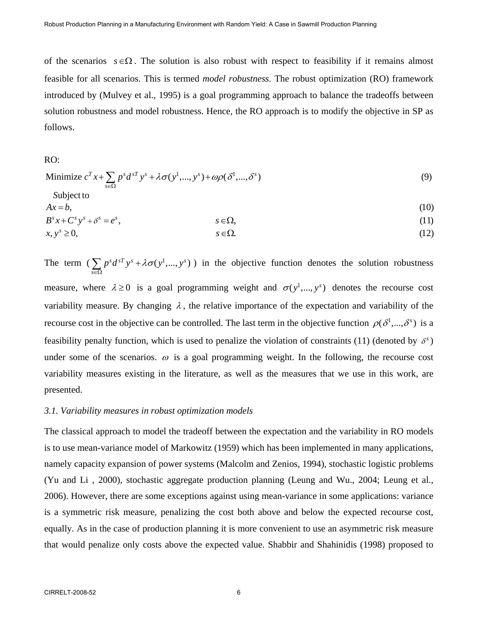of the scenarios  $s \in \Omega$ . The solution is also robust with respect to feasibility if it remains almost feasible for all scenarios. This is termed *model robustness*. The robust optimization (RO) framework introduced by (Mulvey et al., 1995) is a goal programming approach to balance the tradeoffs between solution robustness and model robustness. Hence, the RO approach is to modify the objective in SP as follows.

#### RO:

#### Minimize  $c^T x + \sum p^s d^{sT} y^s + \lambda \sigma(y^1, ..., y^s) + \omega \rho(\delta^1, ..., \delta^s)$  (9) *s*  $c^T x + \sum p^s d^{sT} y^s + \lambda \sigma(y^1, ..., y^s) + \omega \rho(\delta^1, ..., \delta^r)$  $+\sum_{s\in\Omega} p^s d^{sT} y^s + \lambda \sigma(y^1,...,y^s) +$

Subject to  
\n
$$
Ax = b,
$$
 (10)

$$
B^s x + C^s y^s + \delta^s = e^s,
$$
 (11)

$$
x, y^s \ge 0,\qquad s \in \Omega. \tag{12}
$$

The term  $(\sum p^s d^{sT} y^s + \lambda \sigma(y^1, ..., y^s))$ *s*  $p^s d^{sT} y^s + \lambda \sigma(y^1,..., y^r)$  $\sum_{s \in \Omega} p^s d^{sT} y^s + \lambda \sigma(y^1, ..., y^s)$  in the objective function denotes the solution robustness measure, where  $\lambda \ge 0$  is a goal programming weight and  $\sigma(y^1,..., y^s)$  denotes the recourse cost variability measure. By changing  $\lambda$ , the relative importance of the expectation and variability of the recourse cost in the objective can be controlled. The last term in the objective function  $\rho(\delta^1,...,\delta^s)$  is a feasibility penalty function, which is used to penalize the violation of constraints (11) (denoted by  $\delta^s$ ) under some of the scenarios.  $\omega$  is a goal programming weight. In the following, the recourse cost variability measures existing in the literature, as well as the measures that we use in this work, are presented.

#### *3.1. Variability measures in robust optimization models*

The classical approach to model the tradeoff between the expectation and the variability in RO models is to use mean-variance model of Markowitz (1959) which has been implemented in many applications, namely capacity expansion of power systems (Malcolm and Zenios, 1994), stochastic logistic problems (Yu and Li , 2000), stochastic aggregate production planning (Leung and Wu., 2004; Leung et al., 2006). However, there are some exceptions against using mean-variance in some applications: variance is a symmetric risk measure, penalizing the cost both above and below the expected recourse cost, equally. As in the case of production planning it is more convenient to use an asymmetric risk measure that would penalize only costs above the expected value. Shabbir and Shahinidis (1998) proposed to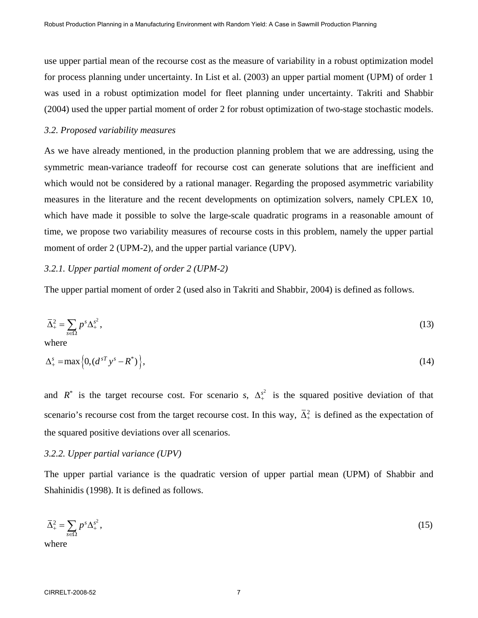use upper partial mean of the recourse cost as the measure of variability in a robust optimization model for process planning under uncertainty. In List et al. (2003) an upper partial moment (UPM) of order 1 was used in a robust optimization model for fleet planning under uncertainty. Takriti and Shabbir (2004) used the upper partial moment of order 2 for robust optimization of two-stage stochastic models.

### *3.2. Proposed variability measures*

As we have already mentioned, in the production planning problem that we are addressing, using the symmetric mean-variance tradeoff for recourse cost can generate solutions that are inefficient and which would not be considered by a rational manager. Regarding the proposed asymmetric variability measures in the literature and the recent developments on optimization solvers, namely CPLEX 10, which have made it possible to solve the large-scale quadratic programs in a reasonable amount of time, we propose two variability measures of recourse costs in this problem, namely the upper partial moment of order 2 (UPM-2), and the upper partial variance (UPV).

### *3.2.1. Upper partial moment of order 2 (UPM-2)*

The upper partial moment of order 2 (used also in Takriti and Shabbir, 2004) is defined as follows.

$$
\overline{\Delta}^2_+ = \sum_{s \in \Omega} p^s \Delta^{s^2}_+, \tag{13}
$$

where

$$
\Delta_+^s = \max\left\{0, \left(d^{sT}y^s - R^*\right)\right\},\tag{14}
$$

and  $R^*$  is the target recourse cost. For scenario *s*,  $\Delta_+^{s^2}$  is the squared positive deviation of that scenario's recourse cost from the target recourse cost. In this way,  $\bar{\Delta}^2$  is defined as the expectation of the squared positive deviations over all scenarios.

### *3.2.2. Upper partial variance (UPV)*

The upper partial variance is the quadratic version of upper partial mean (UPM) of Shabbir and Shahinidis (1998). It is defined as follows.

$$
\overline{\Delta}^2_+ = \sum_{s \in \Omega} p^s \Delta^{s^2}_+, \tag{15}
$$

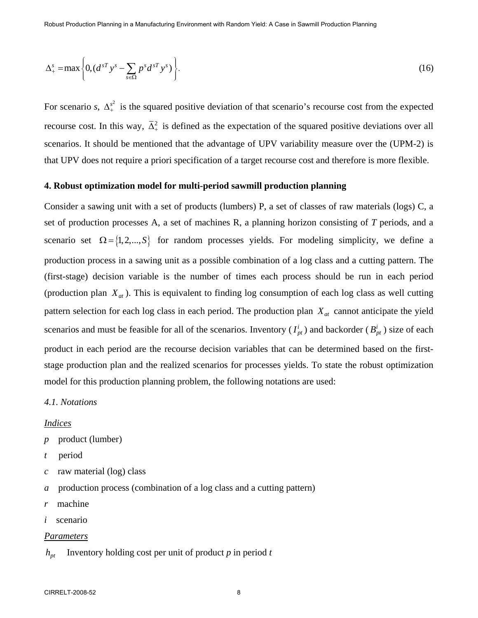$$
\Delta_{+}^{s} = \max\left\{0, \left(d^{sT}y^{s} - \sum_{s \in \Omega} p^{s}d^{sT}y^{s}\right)\right\}.
$$
\n(16)

For scenario *s*,  $\Delta_+^{s^2}$  is the squared positive deviation of that scenario's recourse cost from the expected recourse cost. In this way,  $\overline{\Delta}^2_+$  is defined as the expectation of the squared positive deviations over all scenarios. It should be mentioned that the advantage of UPV variability measure over the (UPM-2) is that UPV does not require a priori specification of a target recourse cost and therefore is more flexible.

### **4. Robust optimization model for multi-period sawmill production planning**

Consider a sawing unit with a set of products (lumbers) P, a set of classes of raw materials (logs) C, a set of production processes A, a set of machines R, a planning horizon consisting of *T* periods, and a scenario set  $\Omega = \{1, 2, ..., S\}$  for random processes yields. For modeling simplicity, we define a production process in a sawing unit as a possible combination of a log class and a cutting pattern. The (first-stage) decision variable is the number of times each process should be run in each period (production plan  $X_{at}$ ). This is equivalent to finding log consumption of each log class as well cutting pattern selection for each log class in each period. The production plan  $X_{at}$  cannot anticipate the yield scenarios and must be feasible for all of the scenarios. Inventory  $(I_{pt}^i)$  and backorder  $(B_{pt}^i)$  size of each product in each period are the recourse decision variables that can be determined based on the firststage production plan and the realized scenarios for processes yields. To state the robust optimization model for this production planning problem, the following notations are used:

#### *4.1. Notations*

### *Indices*

- *p* product (lumber)
- *t* period
- *c* raw material (log) class
- *a* production process (combination of a log class and a cutting pattern)
- *r* machine
- *i* scenario

### *Parameters*

 $h_{nt}$  Inventory holding cost per unit of product *p* in period *t*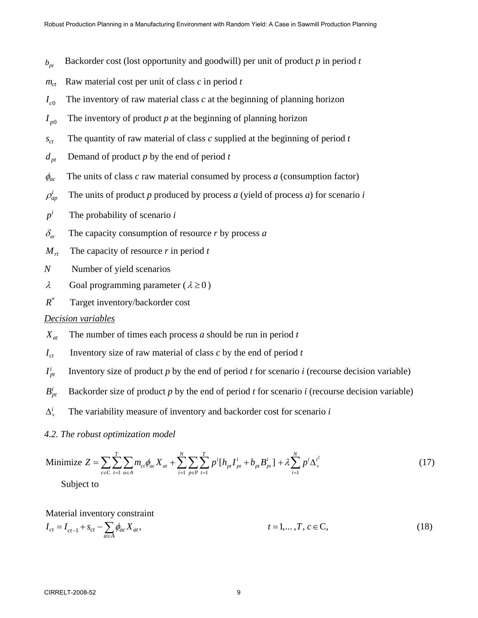- $b_{pt}$ Backorder cost (lost opportunity and goodwill) per unit of product *p* in period *t*
- $m_{ct}$  Raw material cost per unit of class *c* in period *t*
- $I_{\text{on}}$  The inventory of raw material class *c* at the beginning of planning horizon
- $I_{p0}$  The inventory of product *p* at the beginning of planning horizon
- $s_{ct}$  The quantity of raw material of class *c* supplied at the beginning of period *t*
- $d_{pt}$  Demand of product *p* by the end of period *t*
- $\phi_{ac}$  The units of class *c* raw material consumed by process *a* (consumption factor)
- $\rho_{ap}^{i}$  The units of product *p* produced by process *a* (yield of process *a*) for scenario *i*
- $p^i$  The probability of scenario *i*
- $\delta_{ar}$  The capacity consumption of resource *r* by process *a*
- $M_{rt}$  The capacity of resource *r* in period *t*
- *N* Number of yield scenarios
- $\lambda$  Goal programming parameter ( $\lambda \ge 0$ )
- $R^*$  Target inventory/backorder cost

### *Decision variables*

- $X_{at}$  The number of times each process *a* should be run in period *t*
- $I_{ct}$  Inventory size of raw material of class *c* by the end of period *t*
- $I^i_{nt}$ Inventory size of product  $p$  by the end of period  $t$  for scenario  $i$  (recourse decision variable)
- $B_{pt}^{i}$  Backorder size of product *p* by the end of period *t* for scenario *i* (recourse decision variable)
- $\Delta^i_+$  The variability measure of inventory and backorder cost for scenario *i*
- *4.2. The robust optimization model*

Minimize 
$$
Z = \sum_{c \in C} \sum_{t=1}^{T} \sum_{a \in A} m_{ct} \phi_{ac} X_{at} + \sum_{i=1}^{N} \sum_{p \in P} \sum_{t=1}^{T} p^{i} [h_{pt} I_{pt}^{i} + b_{pt} B_{pt}^{i}] + \lambda \sum_{i=1}^{N} p^{i} \Delta_{+}^{i^{2}}
$$
 (17)

Subject to

### Material inventory constraint

$$
I_{ct} = I_{ct-1} + s_{ct} - \sum_{a \in A} \phi_{ac} X_{at}, \qquad t = 1, ..., T, c \in C,
$$
 (18)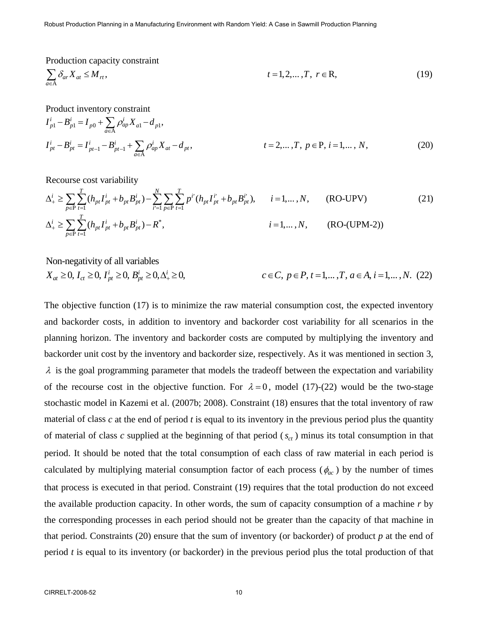Production capacity constraint

$$
\sum_{a \in A} \delta_{ar} X_{at} \le M_{rt}, \qquad t = 1, 2, \dots, T, r \in R,
$$
\n(19)

Product inventory constraint

$$
I_{p1}^{i} - B_{p1}^{i} = I_{p0} + \sum_{a \in A} \rho_{ap}^{i} X_{a1} - d_{p1},
$$
  
\n
$$
I_{pt}^{i} - B_{pt}^{i} = I_{pt-1}^{i} - B_{pt-1}^{i} + \sum_{a \in A} \rho_{ap}^{i} X_{at} - d_{pt},
$$
  
\n
$$
t = 2,...,T, p \in P, i = 1,..., N,
$$
\n(20)

Recourse cost variability

$$
\Delta_{+}^{i} \geq \sum_{p \in P} \sum_{t=1}^{T} (h_{pt} I_{pt}^{i} + b_{pt} B_{pt}^{i}) - \sum_{i'=1}^{N} \sum_{p \in P} \sum_{t=1}^{T} p^{i'} (h_{pt} I_{pt}^{i'} + b_{pt} B_{pt}^{i'}), \qquad i = 1,...,N, \qquad (RO-UPV)
$$
\n
$$
\Delta_{+}^{i} \geq \sum_{p \in P} \sum_{t=1}^{T} (h_{pt} I_{pt}^{i} + b_{pt} B_{pt}^{i}) - R^{*}, \qquad i = 1,...,N, \qquad (RO-(UPM-2))
$$
\n(21)

Non-negativity of all variables  
\n
$$
X_{at} \ge 0
$$
,  $I_{ct} \ge 0$ ,  $I_{pt}^i \ge 0$ ,  $B_{pt}^i \ge 0$ ,  $\Delta_+^i \ge 0$ ,  
\n $C \in C$ ,  $p \in P$ ,  $t = 1,...,T$ ,  $a \in A$ ,  $i = 1,..., N$ . (22)

The objective function (17) is to minimize the raw material consumption cost, the expected inventory and backorder costs, in addition to inventory and backorder cost variability for all scenarios in the planning horizon. The inventory and backorder costs are computed by multiplying the inventory and backorder unit cost by the inventory and backorder size, respectively. As it was mentioned in section 3,  $\lambda$  is the goal programming parameter that models the tradeoff between the expectation and variability of the recourse cost in the objective function. For  $\lambda = 0$ , model (17)-(22) would be the two-stage stochastic model in Kazemi et al. (2007b; 2008). Constraint (18) ensures that the total inventory of raw material of class  $c$  at the end of period  $t$  is equal to its inventory in the previous period plus the quantity of material of class *c* supplied at the beginning of that period  $(s<sub>ct</sub>)$  minus its total consumption in that period. It should be noted that the total consumption of each class of raw material in each period is calculated by multiplying material consumption factor of each process ( $\phi_{ac}$ ) by the number of times that process is executed in that period. Constraint (19) requires that the total production do not exceed the available production capacity. In other words, the sum of capacity consumption of a machine *r* by the corresponding processes in each period should not be greater than the capacity of that machine in that period. Constraints (20) ensure that the sum of inventory (or backorder) of product *p* at the end of period *t* is equal to its inventory (or backorder) in the previous period plus the total production of that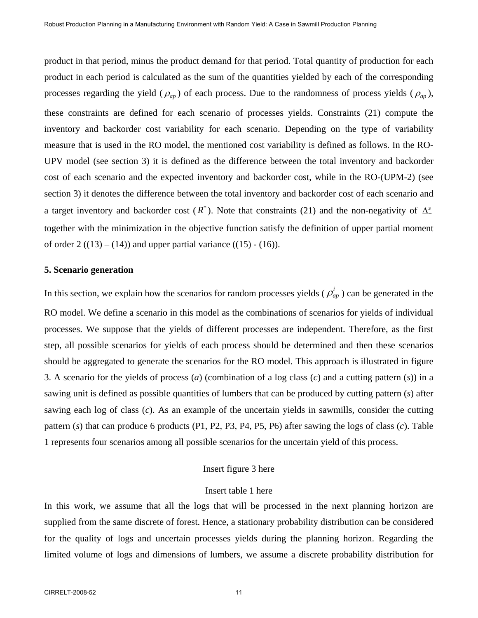product in that period, minus the product demand for that period. Total quantity of production for each product in each period is calculated as the sum of the quantities yielded by each of the corresponding processes regarding the yield ( $\rho_{ap}$ ) of each process. Due to the randomness of process yields ( $\rho_{ap}$ ), these constraints are defined for each scenario of processes yields. Constraints (21) compute the inventory and backorder cost variability for each scenario. Depending on the type of variability measure that is used in the RO model, the mentioned cost variability is defined as follows. In the RO-UPV model (see section 3) it is defined as the difference between the total inventory and backorder cost of each scenario and the expected inventory and backorder cost, while in the RO-(UPM-2) (see section 3) it denotes the difference between the total inventory and backorder cost of each scenario and a target inventory and backorder cost  $(R^*)$ . Note that constraints (21) and the non-negativity of  $\Delta^s_+$ together with the minimization in the objective function satisfy the definition of upper partial moment of order  $2((13) - (14))$  and upper partial variance  $((15) - (16))$ .

### **5. Scenario generation**

In this section, we explain how the scenarios for random processes yields ( $\rho_{ap}^{i}$ ) can be generated in the RO model. We define a scenario in this model as the combinations of scenarios for yields of individual processes. We suppose that the yields of different processes are independent. Therefore, as the first step, all possible scenarios for yields of each process should be determined and then these scenarios should be aggregated to generate the scenarios for the RO model. This approach is illustrated in figure 3. A scenario for the yields of process (*a*) (combination of a log class (*c*) and a cutting pattern (*s*)) in a sawing unit is defined as possible quantities of lumbers that can be produced by cutting pattern (*s*) after sawing each log of class (*c*). As an example of the uncertain yields in sawmills, consider the cutting pattern (*s*) that can produce 6 products (P1, P2, P3, P4, P5, P6) after sawing the logs of class (*c*). Table 1 represents four scenarios among all possible scenarios for the uncertain yield of this process.

### Insert figure 3 here

### Insert table 1 here

In this work, we assume that all the logs that will be processed in the next planning horizon are supplied from the same discrete of forest. Hence, a stationary probability distribution can be considered for the quality of logs and uncertain processes yields during the planning horizon. Regarding the limited volume of logs and dimensions of lumbers, we assume a discrete probability distribution for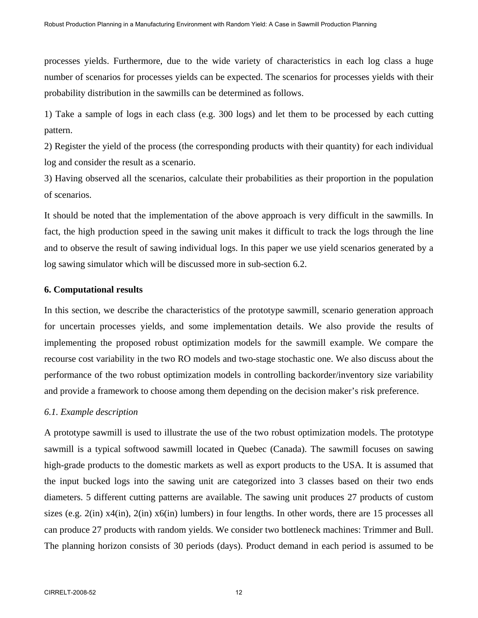processes yields. Furthermore, due to the wide variety of characteristics in each log class a huge number of scenarios for processes yields can be expected. The scenarios for processes yields with their probability distribution in the sawmills can be determined as follows.

1) Take a sample of logs in each class (e.g. 300 logs) and let them to be processed by each cutting pattern.

2) Register the yield of the process (the corresponding products with their quantity) for each individual log and consider the result as a scenario.

3) Having observed all the scenarios, calculate their probabilities as their proportion in the population of scenarios.

It should be noted that the implementation of the above approach is very difficult in the sawmills. In fact, the high production speed in the sawing unit makes it difficult to track the logs through the line and to observe the result of sawing individual logs. In this paper we use yield scenarios generated by a log sawing simulator which will be discussed more in sub-section 6.2.

### **6. Computational results**

In this section, we describe the characteristics of the prototype sawmill, scenario generation approach for uncertain processes yields, and some implementation details. We also provide the results of implementing the proposed robust optimization models for the sawmill example. We compare the recourse cost variability in the two RO models and two-stage stochastic one. We also discuss about the performance of the two robust optimization models in controlling backorder/inventory size variability and provide a framework to choose among them depending on the decision maker's risk preference.

### *6.1. Example description*

A prototype sawmill is used to illustrate the use of the two robust optimization models. The prototype sawmill is a typical softwood sawmill located in Quebec (Canada). The sawmill focuses on sawing high-grade products to the domestic markets as well as export products to the USA. It is assumed that the input bucked logs into the sawing unit are categorized into 3 classes based on their two ends diameters. 5 different cutting patterns are available. The sawing unit produces 27 products of custom sizes (e.g. 2(in) x4(in), 2(in) x6(in) lumbers) in four lengths. In other words, there are 15 processes all can produce 27 products with random yields. We consider two bottleneck machines: Trimmer and Bull. The planning horizon consists of 30 periods (days). Product demand in each period is assumed to be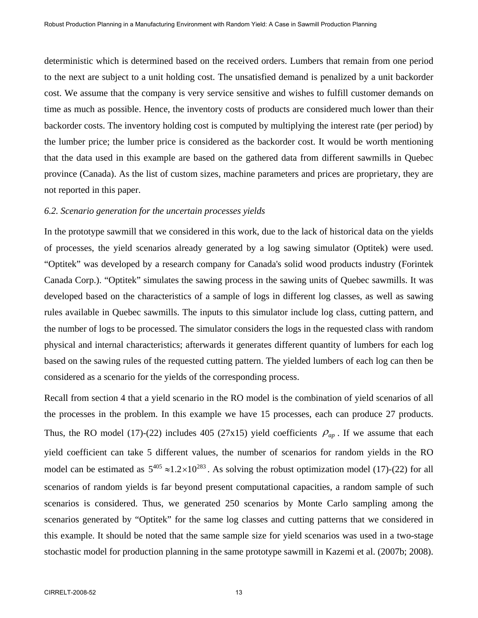deterministic which is determined based on the received orders. Lumbers that remain from one period to the next are subject to a unit holding cost. The unsatisfied demand is penalized by a unit backorder cost. We assume that the company is very service sensitive and wishes to fulfill customer demands on time as much as possible. Hence, the inventory costs of products are considered much lower than their backorder costs. The inventory holding cost is computed by multiplying the interest rate (per period) by the lumber price; the lumber price is considered as the backorder cost. It would be worth mentioning that the data used in this example are based on the gathered data from different sawmills in Quebec province (Canada). As the list of custom sizes, machine parameters and prices are proprietary, they are not reported in this paper.

### *6.2. Scenario generation for the uncertain processes yields*

In the prototype sawmill that we considered in this work, due to the lack of historical data on the yields of processes, the yield scenarios already generated by a log sawing simulator (Optitek) were used. "Optitek" was developed by a research company for Canada's solid wood products industry (Forintek Canada Corp.). "Optitek" simulates the sawing process in the sawing units of Quebec sawmills. It was developed based on the characteristics of a sample of logs in different log classes, as well as sawing rules available in Quebec sawmills. The inputs to this simulator include log class, cutting pattern, and the number of logs to be processed. The simulator considers the logs in the requested class with random physical and internal characteristics; afterwards it generates different quantity of lumbers for each log based on the sawing rules of the requested cutting pattern. The yielded lumbers of each log can then be considered as a scenario for the yields of the corresponding process.

Recall from section 4 that a yield scenario in the RO model is the combination of yield scenarios of all the processes in the problem. In this example we have 15 processes, each can produce 27 products. Thus, the RO model (17)-(22) includes 405 (27x15) yield coefficients  $\rho_{ap}$ . If we assume that each yield coefficient can take 5 different values, the number of scenarios for random yields in the RO model can be estimated as  $5^{405} \approx 1.2 \times 10^{283}$ . As solving the robust optimization model (17)-(22) for all scenarios of random yields is far beyond present computational capacities, a random sample of such scenarios is considered. Thus, we generated 250 scenarios by Monte Carlo sampling among the scenarios generated by "Optitek" for the same log classes and cutting patterns that we considered in this example. It should be noted that the same sample size for yield scenarios was used in a two-stage stochastic model for production planning in the same prototype sawmill in Kazemi et al. (2007b; 2008).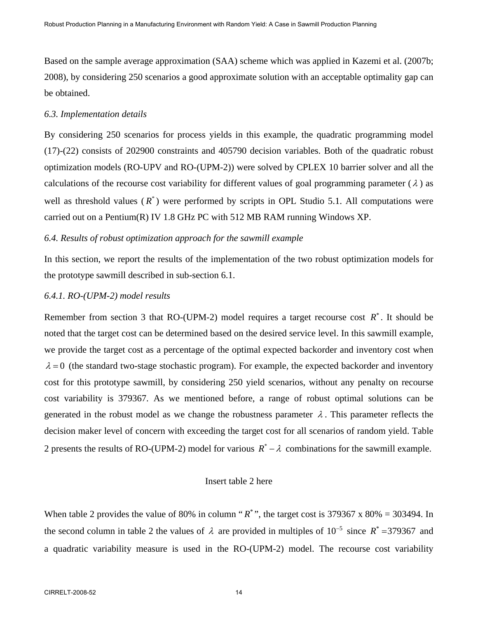Based on the sample average approximation (SAA) scheme which was applied in Kazemi et al. (2007b; 2008), by considering 250 scenarios a good approximate solution with an acceptable optimality gap can be obtained.

### *6.3. Implementation details*

By considering 250 scenarios for process yields in this example, the quadratic programming model (17)-(22) consists of 202900 constraints and 405790 decision variables. Both of the quadratic robust optimization models (RO-UPV and RO-(UPM-2)) were solved by CPLEX 10 barrier solver and all the calculations of the recourse cost variability for different values of goal programming parameter  $(\lambda)$  as well as threshold values  $(R^*)$  were performed by scripts in OPL Studio 5.1. All computations were carried out on a Pentium(R) IV 1.8 GHz PC with 512 MB RAM running Windows XP.

### *6.4. Results of robust optimization approach for the sawmill example*

In this section, we report the results of the implementation of the two robust optimization models for the prototype sawmill described in sub-section 6.1.

### *6.4.1. RO-(UPM-2) model results*

Remember from section 3 that RO-(UPM-2) model requires a target recourse cost  $R^*$ . It should be noted that the target cost can be determined based on the desired service level. In this sawmill example, we provide the target cost as a percentage of the optimal expected backorder and inventory cost when  $\lambda = 0$  (the standard two-stage stochastic program). For example, the expected backorder and inventory cost for this prototype sawmill, by considering 250 yield scenarios, without any penalty on recourse cost variability is 379367. As we mentioned before, a range of robust optimal solutions can be generated in the robust model as we change the robustness parameter  $\lambda$ . This parameter reflects the decision maker level of concern with exceeding the target cost for all scenarios of random yield. Table 2 presents the results of RO-(UPM-2) model for various  $R^* - \lambda$  combinations for the sawmill example.

### Insert table 2 here

When table 2 provides the value of 80% in column " $R^*$ ", the target cost is 379367 x 80% = 303494. In the second column in table 2 the values of  $\lambda$  are provided in multiples of 10<sup>-5</sup> since  $R^* = 379367$  and a quadratic variability measure is used in the RO-(UPM-2) model. The recourse cost variability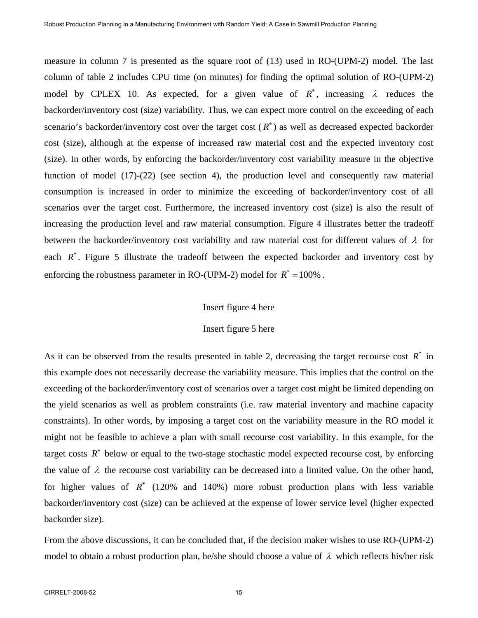measure in column 7 is presented as the square root of (13) used in RO-(UPM-2) model. The last column of table 2 includes CPU time (on minutes) for finding the optimal solution of RO-(UPM-2) model by CPLEX 10. As expected, for a given value of  $R^*$ , increasing  $\lambda$  reduces the backorder/inventory cost (size) variability. Thus, we can expect more control on the exceeding of each scenario's backorder/inventory cost over the target cost  $(R^*)$  as well as decreased expected backorder cost (size), although at the expense of increased raw material cost and the expected inventory cost (size). In other words, by enforcing the backorder/inventory cost variability measure in the objective function of model (17)-(22) (see section 4), the production level and consequently raw material consumption is increased in order to minimize the exceeding of backorder/inventory cost of all scenarios over the target cost. Furthermore, the increased inventory cost (size) is also the result of increasing the production level and raw material consumption. Figure 4 illustrates better the tradeoff between the backorder/inventory cost variability and raw material cost for different values of  $\lambda$  for each  $R^*$ . Figure 5 illustrate the tradeoff between the expected backorder and inventory cost by enforcing the robustness parameter in RO-(UPM-2) model for  $R^* = 100\%$ .

#### Insert figure 4 here

### Insert figure 5 here

As it can be observed from the results presented in table 2, decreasing the target recourse cost  $R^*$  in this example does not necessarily decrease the variability measure. This implies that the control on the exceeding of the backorder/inventory cost of scenarios over a target cost might be limited depending on the yield scenarios as well as problem constraints (i.e. raw material inventory and machine capacity constraints). In other words, by imposing a target cost on the variability measure in the RO model it might not be feasible to achieve a plan with small recourse cost variability. In this example, for the target costs  $R^*$  below or equal to the two-stage stochastic model expected recourse cost, by enforcing the value of  $\lambda$  the recourse cost variability can be decreased into a limited value. On the other hand, for higher values of  $R^*$  (120% and 140%) more robust production plans with less variable backorder/inventory cost (size) can be achieved at the expense of lower service level (higher expected backorder size).

From the above discussions, it can be concluded that, if the decision maker wishes to use RO-(UPM-2) model to obtain a robust production plan, he/she should choose a value of  $\lambda$  which reflects his/her risk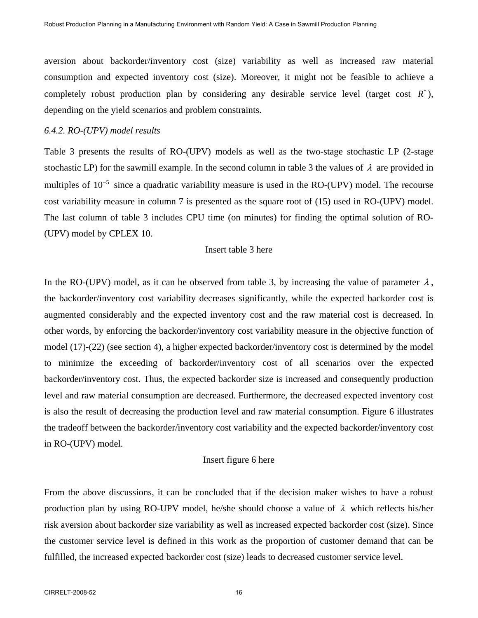aversion about backorder/inventory cost (size) variability as well as increased raw material consumption and expected inventory cost (size). Moreover, it might not be feasible to achieve a completely robust production plan by considering any desirable service level (target cost  $R^*$ ), depending on the yield scenarios and problem constraints.

### *6.4.2. RO-(UPV) model results*

Table 3 presents the results of RO-(UPV) models as well as the two-stage stochastic LP (2-stage stochastic LP) for the sawmill example. In the second column in table 3 the values of  $\lambda$  are provided in multiples of  $10^{-5}$  since a quadratic variability measure is used in the RO-(UPV) model. The recourse cost variability measure in column 7 is presented as the square root of (15) used in RO-(UPV) model. The last column of table 3 includes CPU time (on minutes) for finding the optimal solution of RO- (UPV) model by CPLEX 10.

### Insert table 3 here

In the RO-(UPV) model, as it can be observed from table 3, by increasing the value of parameter  $\lambda$ , the backorder/inventory cost variability decreases significantly, while the expected backorder cost is augmented considerably and the expected inventory cost and the raw material cost is decreased. In other words, by enforcing the backorder/inventory cost variability measure in the objective function of model (17)-(22) (see section 4), a higher expected backorder/inventory cost is determined by the model to minimize the exceeding of backorder/inventory cost of all scenarios over the expected backorder/inventory cost. Thus, the expected backorder size is increased and consequently production level and raw material consumption are decreased. Furthermore, the decreased expected inventory cost is also the result of decreasing the production level and raw material consumption. Figure 6 illustrates the tradeoff between the backorder/inventory cost variability and the expected backorder/inventory cost in RO-(UPV) model.

### Insert figure 6 here

From the above discussions, it can be concluded that if the decision maker wishes to have a robust production plan by using RO-UPV model, he/she should choose a value of  $\lambda$  which reflects his/her risk aversion about backorder size variability as well as increased expected backorder cost (size). Since the customer service level is defined in this work as the proportion of customer demand that can be fulfilled, the increased expected backorder cost (size) leads to decreased customer service level.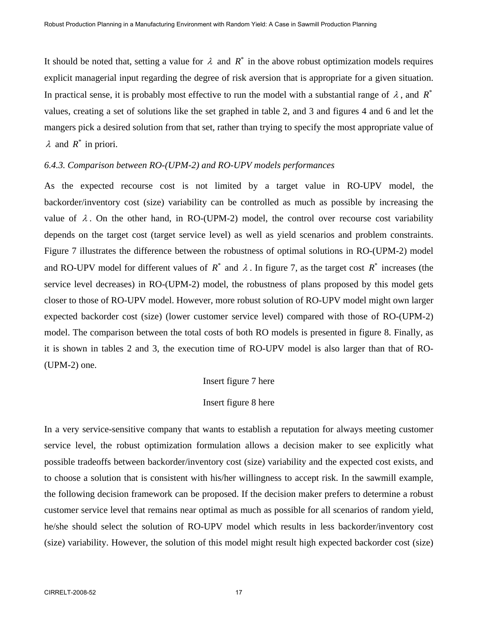It should be noted that, setting a value for  $\lambda$  and  $R^*$  in the above robust optimization models requires explicit managerial input regarding the degree of risk aversion that is appropriate for a given situation. In practical sense, it is probably most effective to run the model with a substantial range of  $\lambda$ , and  $R^*$ values, creating a set of solutions like the set graphed in table 2, and 3 and figures 4 and 6 and let the mangers pick a desired solution from that set, rather than trying to specify the most appropriate value of  $\lambda$  and  $R^*$  in priori.

### *6.4.3. Comparison between RO-(UPM-2) and RO-UPV models performances*

As the expected recourse cost is not limited by a target value in RO-UPV model, the backorder/inventory cost (size) variability can be controlled as much as possible by increasing the value of  $\lambda$ . On the other hand, in RO-(UPM-2) model, the control over recourse cost variability depends on the target cost (target service level) as well as yield scenarios and problem constraints. Figure 7 illustrates the difference between the robustness of optimal solutions in RO-(UPM-2) model and RO-UPV model for different values of  $R^*$  and  $\lambda$ . In figure 7, as the target cost  $R^*$  increases (the service level decreases) in RO-(UPM-2) model, the robustness of plans proposed by this model gets closer to those of RO-UPV model. However, more robust solution of RO-UPV model might own larger expected backorder cost (size) (lower customer service level) compared with those of RO-(UPM-2) model. The comparison between the total costs of both RO models is presented in figure 8. Finally, as it is shown in tables 2 and 3, the execution time of RO-UPV model is also larger than that of RO- (UPM-2) one.

### Insert figure 7 here

### Insert figure 8 here

In a very service-sensitive company that wants to establish a reputation for always meeting customer service level, the robust optimization formulation allows a decision maker to see explicitly what possible tradeoffs between backorder/inventory cost (size) variability and the expected cost exists, and to choose a solution that is consistent with his/her willingness to accept risk. In the sawmill example, the following decision framework can be proposed. If the decision maker prefers to determine a robust customer service level that remains near optimal as much as possible for all scenarios of random yield, he/she should select the solution of RO-UPV model which results in less backorder/inventory cost (size) variability. However, the solution of this model might result high expected backorder cost (size)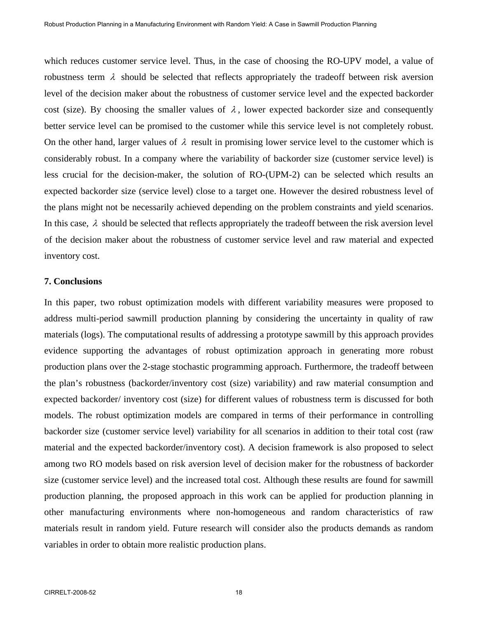which reduces customer service level. Thus, in the case of choosing the RO-UPV model, a value of robustness term  $\lambda$  should be selected that reflects appropriately the tradeoff between risk aversion level of the decision maker about the robustness of customer service level and the expected backorder cost (size). By choosing the smaller values of  $\lambda$ , lower expected backorder size and consequently better service level can be promised to the customer while this service level is not completely robust. On the other hand, larger values of  $\lambda$  result in promising lower service level to the customer which is considerably robust. In a company where the variability of backorder size (customer service level) is less crucial for the decision-maker, the solution of RO-(UPM-2) can be selected which results an expected backorder size (service level) close to a target one. However the desired robustness level of the plans might not be necessarily achieved depending on the problem constraints and yield scenarios. In this case,  $\lambda$  should be selected that reflects appropriately the tradeoff between the risk aversion level of the decision maker about the robustness of customer service level and raw material and expected inventory cost.

### **7. Conclusions**

In this paper, two robust optimization models with different variability measures were proposed to address multi-period sawmill production planning by considering the uncertainty in quality of raw materials (logs). The computational results of addressing a prototype sawmill by this approach provides evidence supporting the advantages of robust optimization approach in generating more robust production plans over the 2-stage stochastic programming approach. Furthermore, the tradeoff between the plan's robustness (backorder/inventory cost (size) variability) and raw material consumption and expected backorder/ inventory cost (size) for different values of robustness term is discussed for both models. The robust optimization models are compared in terms of their performance in controlling backorder size (customer service level) variability for all scenarios in addition to their total cost (raw material and the expected backorder/inventory cost). A decision framework is also proposed to select among two RO models based on risk aversion level of decision maker for the robustness of backorder size (customer service level) and the increased total cost. Although these results are found for sawmill production planning, the proposed approach in this work can be applied for production planning in other manufacturing environments where non-homogeneous and random characteristics of raw materials result in random yield. Future research will consider also the products demands as random variables in order to obtain more realistic production plans.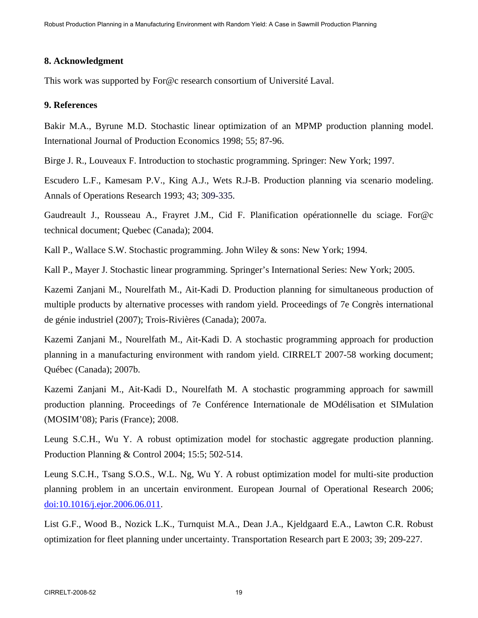### **8. Acknowledgment**

This work was supported by For@c research consortium of Université Laval.

### **9. References**

Bakir M.A., Byrune M.D. Stochastic linear optimization of an MPMP production planning model. International Journal of Production Economics 1998; 55; 87-96.

Birge J. R., Louveaux F. Introduction to stochastic programming. Springer: New York; 1997.

Escudero L.F., Kamesam P.V., King A.J., Wets R.J-B. Production planning via scenario modeling. Annals of Operations Research 1993; 43; 309-335.

Gaudreault J., Rousseau A., Frayret J.M., Cid F. Planification opérationnelle du sciage. For@c technical document; Quebec (Canada); 2004.

Kall P., Wallace S.W. Stochastic programming. John Wiley & sons: New York; 1994.

Kall P., Mayer J. Stochastic linear programming. Springer's International Series: New York; 2005.

Kazemi Zanjani M., Nourelfath M., Ait-Kadi D. Production planning for simultaneous production of multiple products by alternative processes with random yield. Proceedings of 7e Congrès international de génie industriel (2007); Trois-Rivières (Canada); 2007a.

Kazemi Zanjani M., Nourelfath M., Ait-Kadi D. A stochastic programming approach for production planning in a manufacturing environment with random yield. CIRRELT 2007-58 working document; Québec (Canada); 2007b.

Kazemi Zanjani M., Ait-Kadi D., Nourelfath M. A stochastic programming approach for sawmill production planning. Proceedings of 7e Conférence Internationale de MOdélisation et SIMulation (MOSIM'08); Paris (France); 2008.

Leung S.C.H., Wu Y. A robust optimization model for stochastic aggregate production planning. Production Planning & Control 2004; 15:5; 502-514.

Leung S.C.H., Tsang S.O.S., W.L. Ng, Wu Y. A robust optimization model for multi-site production planning problem in an uncertain environment. European Journal of Operational Research 2006; doi:10.1016/j.ejor.2006.06.011.

List G.F., Wood B., Nozick L.K., Turnquist M.A., Dean J.A., Kjeldgaard E.A., Lawton C.R. Robust optimization for fleet planning under uncertainty. Transportation Research part E 2003; 39; 209-227.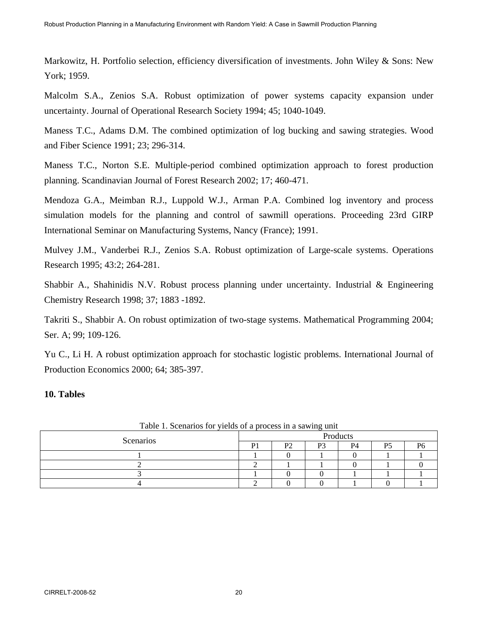Markowitz, H. Portfolio selection, efficiency diversification of investments. John Wiley & Sons: New York; 1959.

Malcolm S.A., Zenios S.A. Robust optimization of power systems capacity expansion under uncertainty. Journal of Operational Research Society 1994; 45; 1040-1049.

Maness T.C., Adams D.M. The combined optimization of log bucking and sawing strategies. Wood and Fiber Science 1991; 23; 296-314.

Maness T.C., Norton S.E. Multiple-period combined optimization approach to forest production planning. Scandinavian Journal of Forest Research 2002; 17; 460-471.

Mendoza G.A., Meimban R.J., Luppold W.J., Arman P.A. Combined log inventory and process simulation models for the planning and control of sawmill operations. Proceeding 23rd GIRP International Seminar on Manufacturing Systems, Nancy (France); 1991.

Mulvey J.M., Vanderbei R.J., Zenios S.A. Robust optimization of Large-scale systems. Operations Research 1995; 43:2; 264-281.

Shabbir A., Shahinidis N.V. Robust process planning under uncertainty. Industrial & Engineering Chemistry Research 1998; 37; 1883 -1892.

Takriti S., Shabbir A. On robust optimization of two-stage systems. Mathematical Programming 2004; Ser. A; 99; 109-126.

Yu C., Li H. A robust optimization approach for stochastic logistic problems. International Journal of Production Economics 2000; 64; 385-397.

### **10. Tables**

| Scenarios | Products |    |                |                |    |  |
|-----------|----------|----|----------------|----------------|----|--|
|           | D        | D. | D <sub>0</sub> | P <sub>4</sub> | Dς |  |
|           |          |    |                |                |    |  |
|           |          |    |                |                |    |  |
|           |          |    |                |                |    |  |
|           |          |    |                |                |    |  |

Table 1. Scenarios for yields of a process in a sawing unit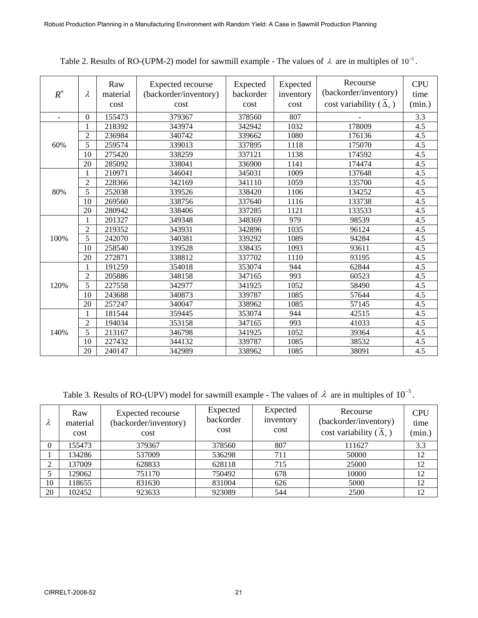| $R^*$          | λ              | Raw      | <b>Expected recourse</b> | Expected  | Expected  | Recourse                                   | <b>CPU</b> |
|----------------|----------------|----------|--------------------------|-----------|-----------|--------------------------------------------|------------|
|                |                | material | (backorder/inventory)    | backorder | inventory | (backorder/inventory)                      | time       |
|                |                | cost     | cost                     | cost      | cost      | cost variability ( $\overline{\Delta}_+$ ) | (min.)     |
| $\blacksquare$ | $\Omega$       | 155473   | 379367                   | 378560    | 807       |                                            | 3.3        |
| 60%            | 1              | 218392   | 343974                   | 342942    | 1032      | 178009                                     | 4.5        |
|                | $\overline{c}$ | 236984   | 340742                   | 339662    | 1080      | 176136                                     | 4.5        |
|                | 5              | 259574   | 339013                   | 337895    | 1118      | 175070                                     | 4.5        |
|                | 10             | 275420   | 338259                   | 337121    | 1138      | 174592                                     | 4.5        |
|                | 20             | 285092   | 338041                   | 336900    | 1141      | 174474                                     | 4.5        |
| 80%            | 1              | 210971   | 346041                   | 345031    | 1009      | 137648                                     | 4.5        |
|                | $\overline{2}$ | 228366   | 342169                   | 341110    | 1059      | 135700                                     | 4.5        |
|                | 5              | 252038   | 339526                   | 338420    | 1106      | 134252                                     | 4.5        |
|                | 10             | 269560   | 338756                   | 337640    | 1116      | 133738                                     | 4.5        |
|                | 20             | 280942   | 338406                   | 337285    | 1121      | 133533                                     | 4.5        |
|                | 1              | 201327   | 349348                   | 348369    | 979       | 98539                                      | 4.5        |
|                | $\overline{2}$ | 219352   | 343931                   | 342896    | 1035      | 96124                                      | 4.5        |
| 100%           | 5              | 242070   | 340381                   | 339292    | 1089      | 94284                                      | 4.5        |
|                | 10             | 258540   | 339528                   | 338435    | 1093      | 93611                                      | 4.5        |
|                | 20             | 272871   | 338812                   | 337702    | 1110      | 93195                                      | 4.5        |
| 120%           | 1              | 191259   | 354018                   | 353074    | 944       | 62844                                      | 4.5        |
|                | $\overline{2}$ | 205886   | 348158                   | 347165    | 993       | 60523                                      | 4.5        |
|                | 5              | 227558   | 342977                   | 341925    | 1052      | 58490                                      | 4.5        |
|                | 10             | 243688   | 340873                   | 339787    | 1085      | 57644                                      | 4.5        |
|                | 20             | 257247   | 340047                   | 338962    | 1085      | 57145                                      | 4.5        |
|                | 1              | 181544   | 359445                   | 353074    | 944       | 42515                                      | 4.5        |
| 140%           | $\overline{2}$ | 194034   | 353158                   | 347165    | 993       | 41033                                      | 4.5        |
|                | 5              | 213167   | 346798                   | 341925    | 1052      | 39364                                      | 4.5        |
|                | 10             | 227432   | 344132                   | 339787    | 1085      | 38532                                      | 4.5        |
|                | 20             | 240147   | 342989                   | 338962    | 1085      | 38091                                      | 4.5        |

Table 2. Results of RO-(UPM-2) model for sawmill example - The values of  $\lambda$  are in multiples of 10<sup>-5</sup>.

Table 3. Results of RO-(UPV) model for sawmill example - The values of  $\lambda$  are in multiples of  $10^{-5}$ .

| λ        | Raw<br>material<br>cost | Expected recourse<br>(backorder/inventory)<br>cost | Expected<br>backorder<br>cost | Expected<br>inventory<br>cost | Recourse<br>(backorder/inventory)<br>cost variability $(\overline{\Delta}_{+})$ | <b>CPU</b><br>time<br>(min.) |
|----------|-------------------------|----------------------------------------------------|-------------------------------|-------------------------------|---------------------------------------------------------------------------------|------------------------------|
| $\Omega$ | 155473                  | 379367                                             | 378560                        | 807                           | 111627                                                                          | 3.3                          |
|          | 134286                  | 537009                                             | 536298                        | 711                           | 50000                                                                           | 12                           |
| 2        | 137009                  | 628833                                             | 628118                        | 715                           | 25000                                                                           | 12                           |
|          | 129062                  | 751170                                             | 750492                        | 678                           | 10000                                                                           | 12                           |
| 10       | 118655                  | 831630                                             | 831004                        | 626                           | 5000                                                                            | 12                           |
| 20       | 102452                  | 923633                                             | 923089                        | 544                           | 2500                                                                            | 12                           |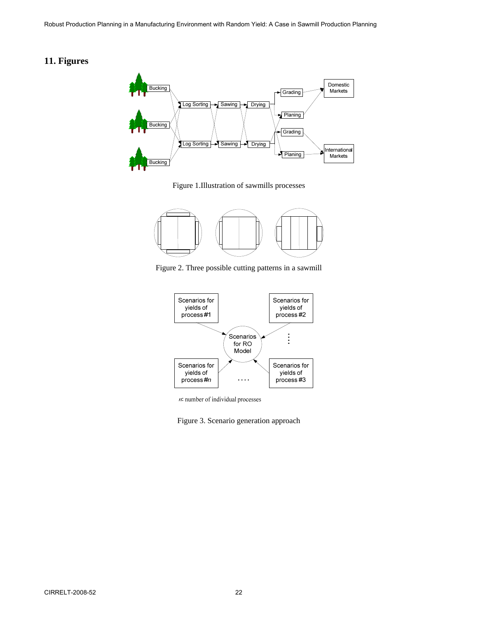### **11. Figures**



Figure 1.Illustration of sawmills processes



Figure 2. Three possible cutting patterns in a sawmill



 $n$ : number of individual processes

Figure 3. Scenario generation approach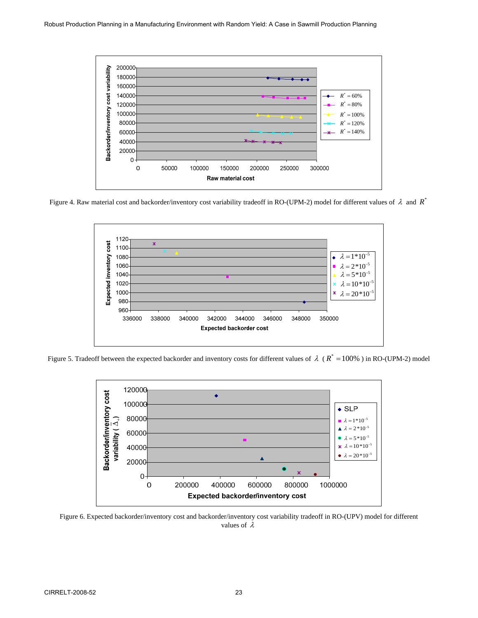

Figure 4. Raw material cost and backorder/inventory cost variability tradeoff in RO-(UPM-2) model for different values of  $\lambda$  and  $R^*$ 



Figure 5. Tradeoff between the expected backorder and inventory costs for different values of  $\lambda$  ( $R^* = 100\%$ ) in RO-(UPM-2) model



Figure 6. Expected backorder/inventory cost and backorder/inventory cost variability tradeoff in RO-(UPV) model for different values of  $\lambda$